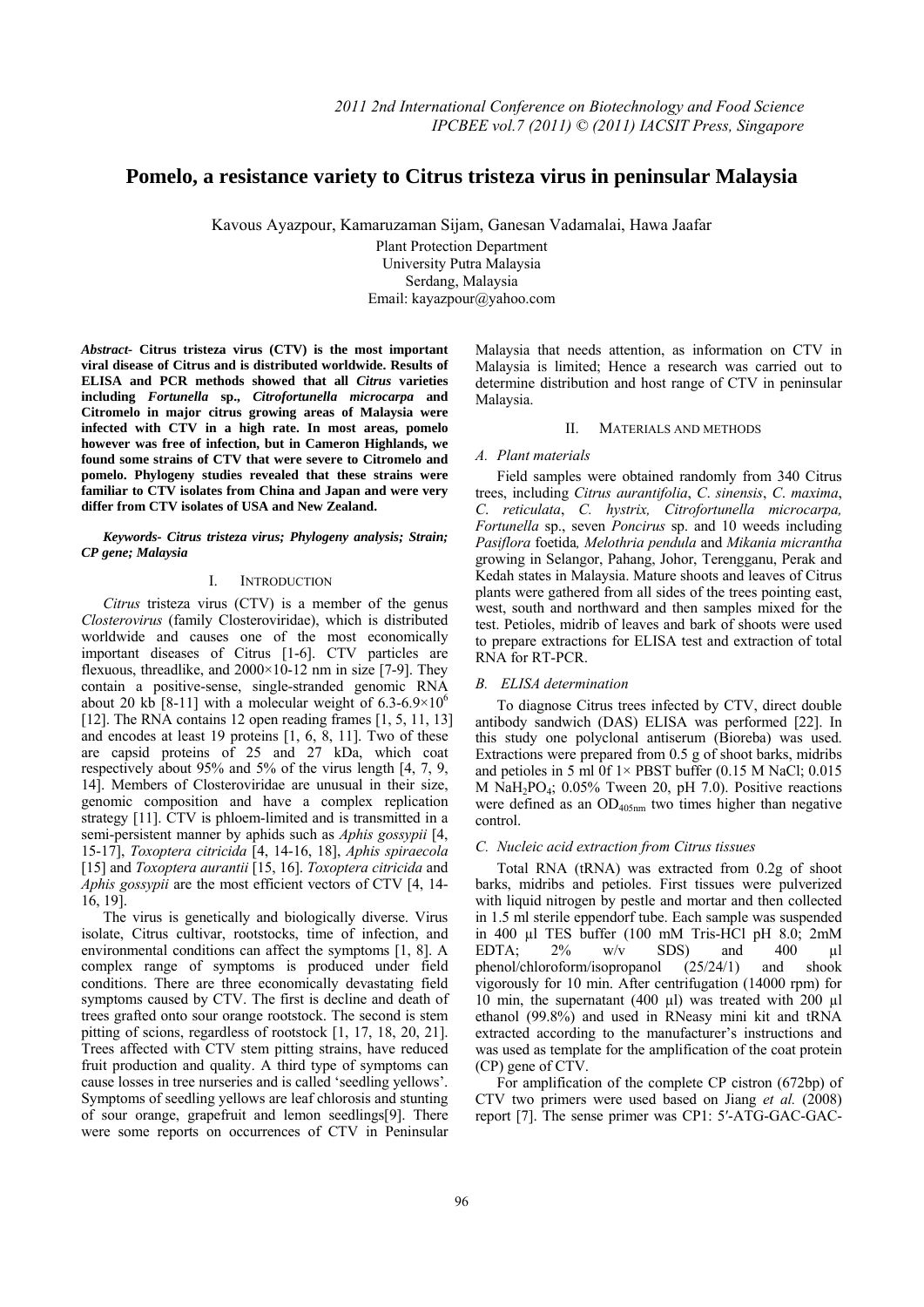# **Pomelo, a resistance variety to Citrus tristeza virus in peninsular Malaysia**

Kavous Ayazpour, Kamaruzaman Sijam, Ganesan Vadamalai, Hawa Jaafar

Plant Protection Department University Putra Malaysia Serdang, Malaysia Email: kayazpour@yahoo.com

*Abstract-* **Citrus tristeza virus (CTV) is the most important viral disease of Citrus and is distributed worldwide. Results of ELISA and PCR methods showed that all** *Citrus* **varieties including** *Fortunella* **sp.,** *Citrofortunella microcarpa* **and Citromelo in major citrus growing areas of Malaysia were infected with CTV in a high rate. In most areas, pomelo however was free of infection, but in Cameron Highlands, we found some strains of CTV that were severe to Citromelo and pomelo. Phylogeny studies revealed that these strains were familiar to CTV isolates from China and Japan and were very differ from CTV isolates of USA and New Zealand.** 

*Keywords- Citrus tristeza virus; Phylogeny analysis; Strain; CP gene; Malaysia* 

#### I. INTRODUCTION

*Citrus* tristeza virus (CTV) is a member of the genus *Closterovirus* (family Closteroviridae), which is distributed worldwide and causes one of the most economically important diseases of Citrus [1-6]. CTV particles are flexuous, threadlike, and 2000×10-12 nm in size [7-9]. They contain a positive-sense, single-stranded genomic RNA about 20 kb [8-11] with a molecular weight of  $6.3{\text -}6.9{\times}10^6$ [12]. The RNA contains 12 open reading frames [1, 5, 11, 13] and encodes at least 19 proteins [1, 6, 8, 11]. Two of these are capsid proteins of 25 and 27 kDa, which coat respectively about 95% and 5% of the virus length [4, 7, 9, 14]. Members of Closteroviridae are unusual in their size, genomic composition and have a complex replication strategy [11]. CTV is phloem-limited and is transmitted in a semi-persistent manner by aphids such as *Aphis gossypii* [4, 15-17], *Toxoptera citricida* [4, 14-16, 18], *Aphis spiraecola* [15] and *Toxoptera aurantii* [15, 16]. *Toxoptera citricida* and *Aphis gossypii* are the most efficient vectors of CTV [4, 14- 16, 19].

The virus is genetically and biologically diverse. Virus isolate, Citrus cultivar, rootstocks, time of infection, and environmental conditions can affect the symptoms [1, 8]. A complex range of symptoms is produced under field conditions. There are three economically devastating field symptoms caused by CTV. The first is decline and death of trees grafted onto sour orange rootstock. The second is stem pitting of scions, regardless of rootstock [1, 17, 18, 20, 21]. Trees affected with CTV stem pitting strains, have reduced fruit production and quality. A third type of symptoms can cause losses in tree nurseries and is called 'seedling yellows'. Symptoms of seedling yellows are leaf chlorosis and stunting of sour orange, grapefruit and lemon seedlings[9]. There were some reports on occurrences of CTV in Peninsular

Malaysia that needs attention, as information on CTV in Malaysia is limited; Hence a research was carried out to determine distribution and host range of CTV in peninsular Malaysia.

#### II. MATERIALS AND METHODS

#### *A. Plant materials*

Field samples were obtained randomly from 340 Citrus trees, including *Citrus aurantifolia*, *C*. *sinensis*, *C*. *maxima*, *C*. *reticulata*, *C. hystrix, Citrofortunella microcarpa, Fortunella* sp., seven *Poncirus* sp. and 10 weeds including *Pasiflora* foetida*, Melothria pendula* and *Mikania micrantha* growing in Selangor, Pahang, Johor, Terengganu, Perak and Kedah states in Malaysia. Mature shoots and leaves of Citrus plants were gathered from all sides of the trees pointing east, west, south and northward and then samples mixed for the test. Petioles, midrib of leaves and bark of shoots were used to prepare extractions for ELISA test and extraction of total RNA for RT-PCR.

#### *B. ELISA determination*

To diagnose Citrus trees infected by CTV, direct double antibody sandwich (DAS) ELISA was performed [22]. In this study one polyclonal antiserum (Bioreba) was used. Extractions were prepared from 0.5 g of shoot barks, midribs and petioles in 5 ml  $0f$  1× PBST buffer (0.15 M NaCl; 0.015 M NaH<sub>2</sub>PO<sub>4</sub>;  $0.05\%$  Tween 20, pH 7.0). Positive reactions were defined as an OD<sub>405nm</sub> two times higher than negative control.

### *C. Nucleic acid extraction from Citrus tissues*

Total RNA (tRNA) was extracted from 0.2g of shoot barks, midribs and petioles. First tissues were pulverized with liquid nitrogen by pestle and mortar and then collected in 1.5 ml sterile eppendorf tube. Each sample was suspended in 400 µl TES buffer (100 mM Tris-HCl pH 8.0; 2mM<br>EDTA; 2% w/v SDS) and 400 ul EDTA;  $2\%$  w/v SDS) and  $400$   $\mu$ l phenol/chloroform/isopropanol (25/24/1) and shook vigorously for 10 min. After centrifugation (14000 rpm) for 10 min, the supernatant (400  $\mu$ l) was treated with 200  $\mu$ l ethanol (99.8%) and used in RNeasy mini kit and tRNA extracted according to the manufacturer's instructions and was used as template for the amplification of the coat protein (CP) gene of CTV.

For amplification of the complete CP cistron (672bp) of CTV two primers were used based on Jiang *et al.* (2008) report [7]. The sense primer was CP1: 5′-ATG-GAC-GAC-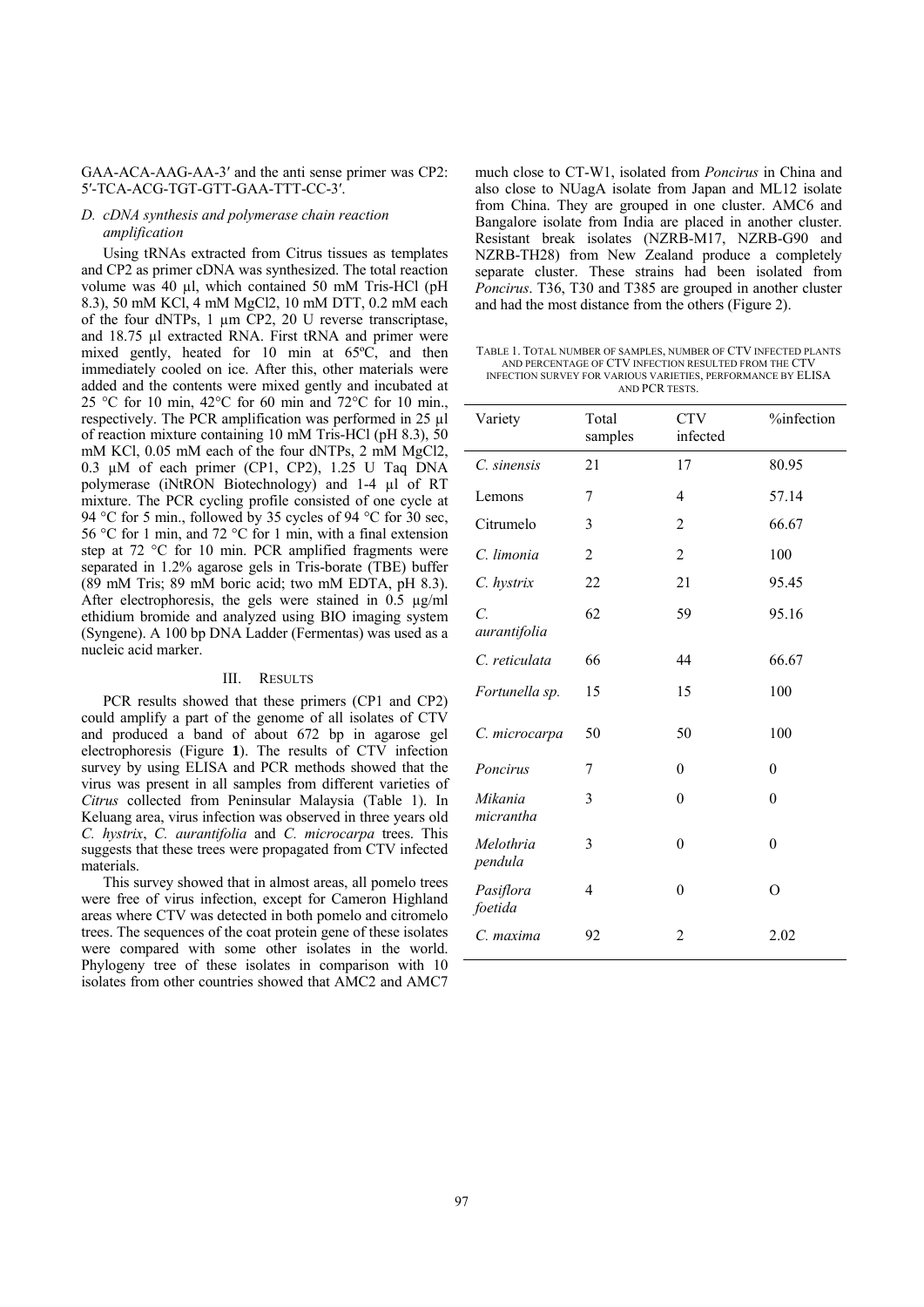## GAA-ACA-AAG-AA-3′ and the anti sense primer was CP2: 5′-TCA-ACG-TGT-GTT-GAA-TTT-CC-3′.

## *D. cDNA synthesis and polymerase chain reaction amplification*

Using tRNAs extracted from Citrus tissues as templates and CP2 as primer cDNA was synthesized. The total reaction volume was 40 µl, which contained 50 mM Tris-HCl (pH 8.3), 50 mM KCl, 4 mM MgCl2, 10 mM DTT, 0.2 mM each of the four dNTPs, 1 µm CP2, 20 U reverse transcriptase, and 18.75 µl extracted RNA. First tRNA and primer were mixed gently, heated for 10 min at 65ºC, and then immediately cooled on ice. After this, other materials were added and the contents were mixed gently and incubated at 25 °C for 10 min, 42°C for 60 min and 72°C for 10 min., respectively. The PCR amplification was performed in 25 µl of reaction mixture containing 10 mM Tris-HCl (pH 8.3), 50 mM KCl, 0.05 mM each of the four dNTPs, 2 mM MgCl2, 0.3 µM of each primer (CP1, CP2), 1.25 U Taq DNA polymerase (iNtRON Biotechnology) and 1-4 µl of RT mixture. The PCR cycling profile consisted of one cycle at 94 °C for 5 min., followed by 35 cycles of 94 °C for 30 sec, 56 °C for 1 min, and 72 °C for 1 min, with a final extension step at 72 °C for 10 min. PCR amplified fragments were separated in 1.2% agarose gels in Tris-borate (TBE) buffer (89 mM Tris; 89 mM boric acid; two mM EDTA, pH 8.3). After electrophoresis, the gels were stained in 0.5 µg/ml ethidium bromide and analyzed using BIO imaging system (Syngene). A 100 bp DNA Ladder (Fermentas) was used as a nucleic acid marker.

#### III. RESULTS

PCR results showed that these primers (CP1 and CP2) could amplify a part of the genome of all isolates of CTV and produced a band of about 672 bp in agarose gel electrophoresis (Figure **1**). The results of CTV infection survey by using ELISA and PCR methods showed that the virus was present in all samples from different varieties of *Citrus* collected from Peninsular Malaysia (Table 1). In Keluang area, virus infection was observed in three years old *C. hystrix*, *C. aurantifolia* and *C. microcarpa* trees. This suggests that these trees were propagated from CTV infected materials.

This survey showed that in almost areas, all pomelo trees were free of virus infection, except for Cameron Highland areas where CTV was detected in both pomelo and citromelo trees. The sequences of the coat protein gene of these isolates were compared with some other isolates in the world. Phylogeny tree of these isolates in comparison with 10 isolates from other countries showed that AMC2 and AMC7 much close to CT-W1, isolated from *Poncirus* in China and also close to NUagA isolate from Japan and ML12 isolate from China. They are grouped in one cluster. AMC6 and Bangalore isolate from India are placed in another cluster. Resistant break isolates (NZRB-M17, NZRB-G90 and NZRB-TH28) from New Zealand produce a completely separate cluster. These strains had been isolated from *Poncirus*. T36, T30 and T385 are grouped in another cluster and had the most distance from the others (Figure 2).

TABLE 1. TOTAL NUMBER OF SAMPLES, NUMBER OF CTV INFECTED PLANTS AND PERCENTAGE OF CTV INFECTION RESULTED FROM THE CTV INFECTION SURVEY FOR VARIOUS VARIETIES, PERFORMANCE BY ELISA AND PCR TESTS.

| Variety                        | Total<br>samples | <b>CTV</b><br>infected | %infection     |
|--------------------------------|------------------|------------------------|----------------|
| C. sinensis                    | 21               | 17                     | 80.95          |
| Lemons                         | 7                | $\overline{4}$         | 57.14          |
| Citrumelo                      | 3                | $\overline{2}$         | 66.67          |
| C. limonia                     | 2                | $\overline{2}$         | 100            |
| C. hystrix                     | 22               | 21                     | 95.45          |
| $\overline{C}$<br>aurantifolia | 62               | 59                     | 95.16          |
| C. reticulata                  | 66               | 44                     | 66.67          |
| Fortunella sp.                 | 15               | 15                     | 100            |
| C. microcarpa                  | 50               | 50                     | 100            |
| Poncirus                       | 7                | $\theta$               | $\theta$       |
| Mikania<br>micrantha           | 3                | $\theta$               | $\overline{0}$ |
| Melothria<br>pendula           | 3                | $\overline{0}$         | $\overline{0}$ |
| Pasiflora<br>foetida           | 4                | $\theta$               | $\Omega$       |
| C. maxima                      | 92               | $\overline{2}$         | 2.02           |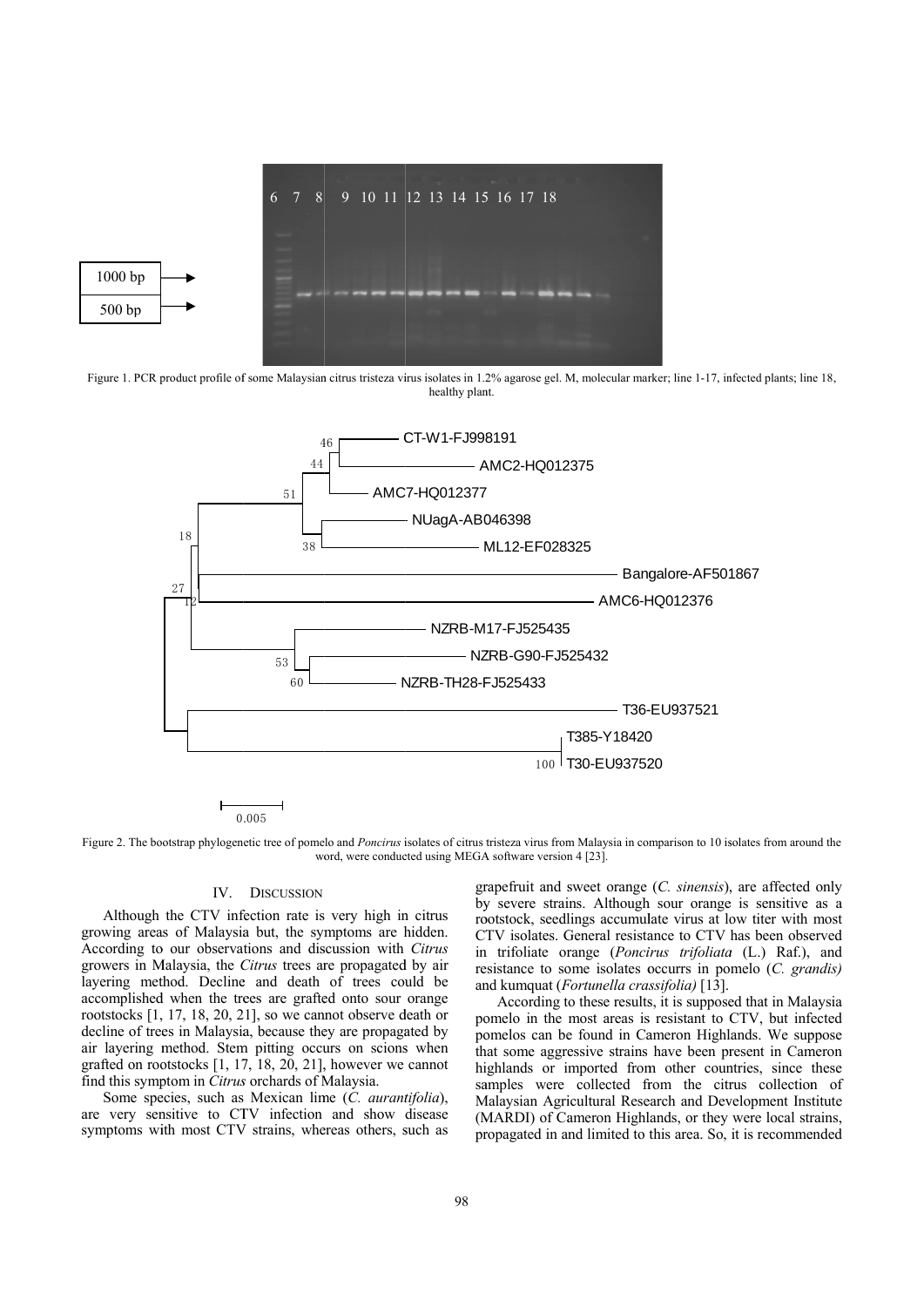

Figure 1. PCR product profile of some Malaysian citrus tristeza virus isolates in 1.2% agarose gel. M, molecular marker; line 1-17, infected plants; line 18, healthy plant.



Figure 2. The bootstrap phylogenetic tree of pomelo and Poncirus isolates of citrus tristeza virus from Malaysia in comparison to 10 isolates from around the word, were conducted using MEGA software version 4 [23].

## IV. DISCUSSION

Although the CTV infection rate is very high in citrus growing areas of Malaysia but, the symptoms are hidden. According to our observations and discussion with Citrus growers in Malaysia, the Citrus trees are propagated by air layering method. Decline and death of trees could be accomplished when the trees are grafted onto sour orange rootstocks [1, 17, 18, 20, 21], so we cannot observe death or decline of trees in Malaysia, because they are propagated by air layering method. Stem pitting occurs on scions when grafted on rootstocks  $[1, 17, 18, 20, 21]$ , however we cannot find this symptom in *Citrus* orchards of Malaysia.

Some species, such as Mexican lime (C. aurantifolia), are very sensitive to CTV infection and show disease symptoms with most CTV strains, whereas others, such as

grapefruit and sweet orange  $(C.$  sinensis), are affected only by severe strains. Although sour orange is sensitive as a rootstock, seedlings accumulate virus at low titer with most CTV isolates. General resistance to CTV has been observed in trifoliate orange (*Poncirus trifoliata* (L.) Raf.), and resistance to some isolates occurrs in pomelo (C. grandis) and kumquat (*Fortunella crassifolia*) [13].

According to these results, it is supposed that in Malaysia pomelo in the most areas is resistant to CTV, but infected pomelos can be found in Cameron Highlands. We suppose that some aggressive strains have been present in Cameron highlands or imported from other countries, since these samples were collected from the citrus collection of Malaysian Agricultural Research and Development Institute (MARDI) of Cameron Highlands, or they were local strains, propagated in and limited to this area. So, it is recommended